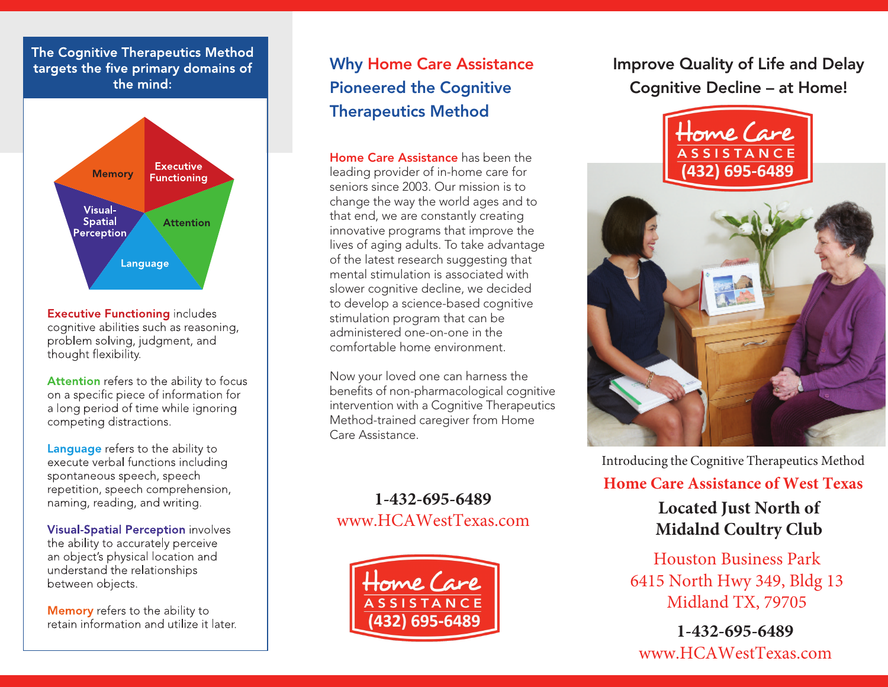#### The Cognitive Therapeutics Method targets the five primary domains of the mind:



**Executive Functioning includes** cognitive abilities such as reasoning, problem solving, judgment, and thought flexibility.

Attention refers to the ability to focus on a specific piece of information for a long period of time while ignoring competing distractions.

**Language** refers to the ability to execute verbal functions including spontaneous speech, speech repetition, speech comprehension, naming, reading, and writing.

**Visual-Spatial Perception involves** the ability to accurately perceive an object's physical location and understand the relationships between objects.

Memory refers to the ability to retain information and utilize it later.

# **Why Home Care Assistance Pioneered the Cognitive Therapeutics Method**

**Home Care Assistance** has been the leading provider of in-home care for seniors since 2003. Our mission is to change the way the world ages and to that end, we are constantly creating innovative programs that improve the lives of aging adults. To take advantage of the latest research suggesting that mental stimulation is associated with slower cognitive decline, we decided to develop a science-based cognitive stimulation program that can be administered one-on-one in the comfortable home environment.

Now your loved one can harness the benefits of non-pharmacological cognitive intervention with a Cognitive Therapeutics Method-trained caregiver from Home Care Assistance.

**1-432-695-6489** www.HCAWestTexas.com



**Improve Quality of Life and Delay Cognitive Decline – at Home!**



Introducing the Cognitive Therapeutics Method

#### **Home Care Assistance of West Texas**

**Located Just North of Midalnd Coultry Club**

Houston Business Park 6415 North Hwy 349, Bldg 13 Midland TX, 79705

**1-432-695-6489** www.HCAWestTexas.com